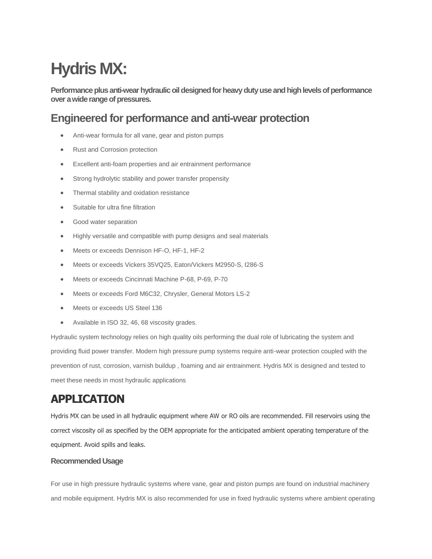# **Hydris MX:**

**Performance plus anti-wear hydraulic oil designed for heavy duty use and high levels of performance over a wide range of pressures.** 

#### **Engineered for performance and anti-wear protection**

- Anti-wear formula for all vane, gear and piston pumps
- Rust and Corrosion protection
- Excellent anti-foam properties and air entrainment performance
- Strong hydrolytic stability and power transfer propensity
- Thermal stability and oxidation resistance
- Suitable for ultra fine filtration
- Good water separation
- Highly versatile and compatible with pump designs and seal materials
- Meets or exceeds Dennison HF-O, HF-1, HF-2
- Meets or exceeds Vickers 35VQ25, Eaton/Vickers M2950-S, I286-S
- Meets or exceeds Cincinnati Machine P-68, P-69, P-70
- Meets or exceeds Ford M6C32, Chrysler, General Motors LS-2
- Meets or exceeds US Steel 136
- Available in ISO 32, 46, 68 viscosity grades.

Hydraulic system technology relies on high quality oils performing the dual role of lubricating the system and providing fluid power transfer. Modern high pressure pump systems require anti-wear protection coupled with the prevention of rust, corrosion, varnish buildup , foaming and air entrainment. Hydris MX is designed and tested to meet these needs in most hydraulic applications

## **APPLICATION**

Hydris MX can be used in all hydraulic equipment where AW or RO oils are recommended. Fill reservoirs using the correct viscosity oil as specified by the OEM appropriate for the anticipated ambient operating temperature of the equipment. Avoid spills and leaks.

#### **Recommended Usage**

For use in high pressure hydraulic systems where vane, gear and piston pumps are found on industrial machinery and mobile equipment. Hydris MX is also recommended for use in fixed hydraulic systems where ambient operating